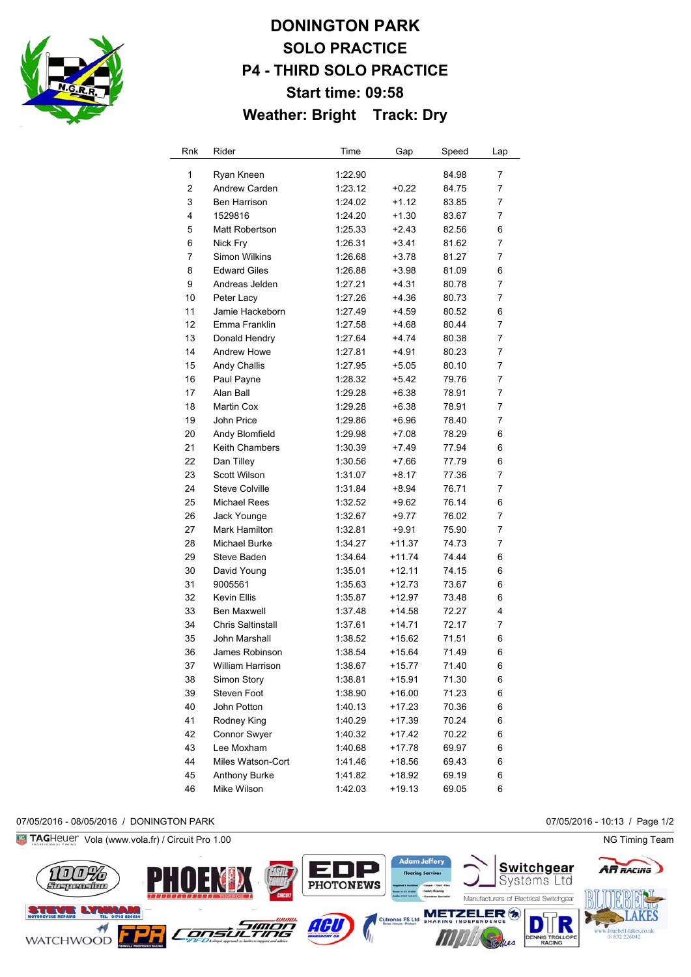

# **DONINGTON PARK SOLO PRACTICE P4 - THIRD SOLO PRACTICE Start time: 09:58 Weather: Bright Track: Dry**

| Rnk            | Rider                    | Time    | Gap      | Speed | Lap |
|----------------|--------------------------|---------|----------|-------|-----|
| 1              | Ryan Kneen               | 1:22.90 |          | 84.98 | 7   |
| $\overline{2}$ | <b>Andrew Carden</b>     | 1:23.12 | $+0.22$  | 84.75 | 7   |
| 3              | Ben Harrison             | 1:24.02 | $+1.12$  | 83.85 | 7   |
| 4              | 1529816                  | 1:24.20 | $+1.30$  | 83.67 | 7   |
| 5              | Matt Robertson           | 1:25.33 | $+2.43$  | 82.56 | 6   |
| 6              | Nick Fry                 | 1:26.31 | $+3.41$  | 81.62 | 7   |
| 7              | Simon Wilkins            | 1:26.68 | $+3.78$  | 81.27 | 7   |
| 8              | <b>Edward Giles</b>      | 1:26.88 | $+3.98$  | 81.09 | 6   |
| 9              | Andreas Jelden           | 1:27.21 | +4.31    | 80.78 | 7   |
| 10             | Peter Lacy               | 1:27.26 | +4.36    | 80.73 | 7   |
| 11             | Jamie Hackeborn          | 1:27.49 | +4.59    | 80.52 | 6   |
| 12             | Emma Franklin            | 1:27.58 | +4.68    | 80.44 | 7   |
| 13             | Donald Hendry            | 1:27.64 | +4.74    | 80.38 | 7   |
| 14             | <b>Andrew Howe</b>       | 1:27.81 | +4.91    | 80.23 | 7   |
| 15             | Andy Challis             | 1:27.95 | +5.05    | 80.10 | 7   |
| 16             | Paul Payne               | 1:28.32 | +5.42    | 79.76 | 7   |
| 17             | Alan Ball                | 1:29.28 | $+6.38$  | 78.91 | 7   |
| 18             | <b>Martin Cox</b>        | 1:29.28 | $+6.38$  | 78.91 | 7   |
| 19             | John Price               | 1:29.86 | +6.96    | 78.40 | 7   |
| 20             | Andy Blomfield           | 1:29.98 | $+7.08$  | 78.29 | 6   |
| 21             | <b>Keith Chambers</b>    | 1:30.39 | $+7.49$  | 77.94 | 6   |
| 22             | Dan Tilley               | 1:30.56 | +7.66    | 77.79 | 6   |
| 23             | Scott Wilson             | 1:31.07 | +8.17    | 77.36 | 7   |
| 24             | <b>Steve Colville</b>    | 1:31.84 | +8.94    | 76.71 | 7   |
| 25             | <b>Michael Rees</b>      | 1:32.52 | +9.62    | 76.14 | 6   |
| 26             | Jack Younge              | 1:32.67 | +9.77    | 76.02 | 7   |
| 27             | Mark Hamilton            | 1:32.81 | $+9.91$  | 75.90 | 7   |
| 28             | Michael Burke            | 1:34.27 | $+11.37$ | 74.73 | 7   |
| 29             | Steve Baden              | 1:34.64 | $+11.74$ | 74.44 | 6   |
| 30             | David Young              | 1:35.01 | $+12.11$ | 74.15 | 6   |
| 31             | 9005561                  | 1:35.63 | $+12.73$ | 73.67 | 6   |
| 32             | Kevin Ellis              | 1:35.87 | +12.97   | 73.48 | 6   |
| 33             | <b>Ben Maxwell</b>       | 1:37.48 | +14.58   | 72.27 | 4   |
| 34             | <b>Chris Saltinstall</b> | 1:37.61 | $+14.71$ | 72.17 | 7   |
| 35             | John Marshall            | 1:38.52 | $+15.62$ | 71.51 | 6   |
| 36             | James Robinson           | 1:38.54 | +15.64   | 71.49 | 6   |
| 37             | William Harrison         | 1:38.67 | +15.77   | 71.40 | 6   |
| 38             | Simon Story              | 1:38.81 | +15.91   | 71.30 | 6   |
| 39             | Steven Foot              | 1:38.90 | $+16.00$ | 71.23 | 6   |
| 40             | John Potton              | 1:40.13 | $+17.23$ | 70.36 | 6   |
| 41             | Rodney King              | 1:40.29 | $+17.39$ | 70.24 | 6   |
| 42             | Connor Swyer             | 1:40.32 | $+17.42$ | 70.22 | 6   |
| 43             | Lee Moxham               | 1:40.68 | +17.78   | 69.97 | 6   |
| 44             | Miles Watson-Cort        | 1:41.46 | +18.56   | 69.43 | 6   |
| 45             | Anthony Burke            | 1:41.82 | $+18.92$ | 69.19 | 6   |
| 46             | Mike Wilson              | 1:42.03 | $+19.13$ | 69.05 | 6   |

#### 07/05/2016 - 08/05/2016 / DONINGTON PARK 07/05/2016 - 10:13 / Page 1/2

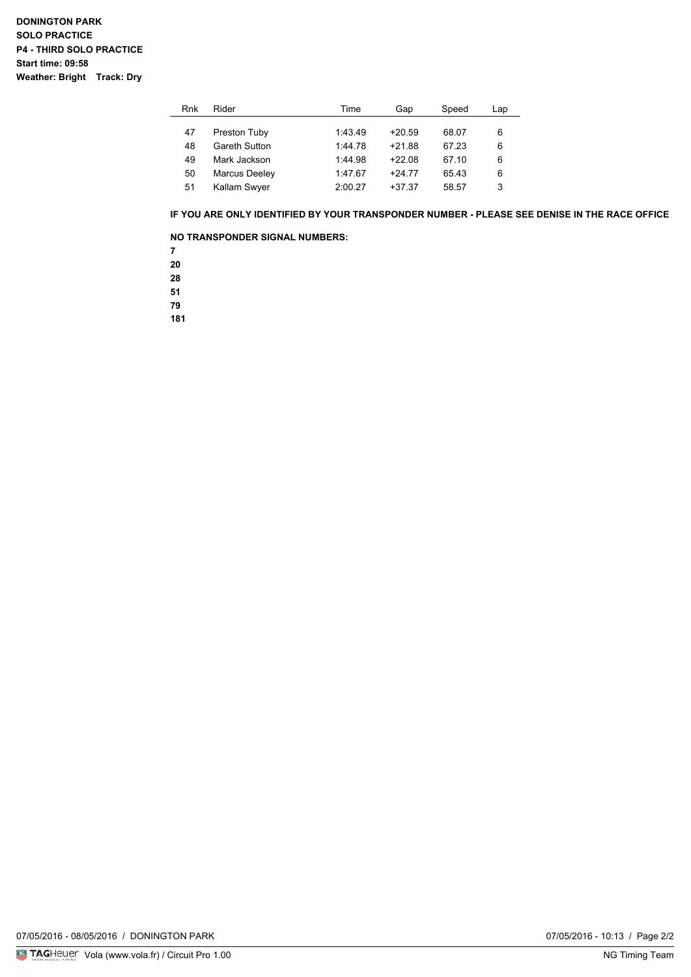| Rnk | Rider         | Time    | Gap      | Speed | Lap |
|-----|---------------|---------|----------|-------|-----|
|     |               |         |          |       |     |
| 47  | Preston Tuby  | 1:43.49 | $+20.59$ | 68.07 | 6   |
| 48  | Gareth Sutton | 1:44.78 | $+21.88$ | 67 23 | 6   |
| 49  | Mark Jackson  | 1:44.98 | $+22.08$ | 67 10 | 6   |
| 50  | Marcus Deeley | 1:47.67 | $+2477$  | 65.43 | 6   |
| 51  | Kallam Swyer  | 2:00.27 | $+37.37$ | 58.57 | 3   |

#### **IF YOU ARE ONLY IDENTIFIED BY YOUR TRANSPONDER NUMBER - PLEASE SEE DENISE IN THE RACE OFFICE**

### **NO TRANSPONDER SIGNAL NUMBERS:**

**7**

**20**

**28**

**51**

**79**

**181**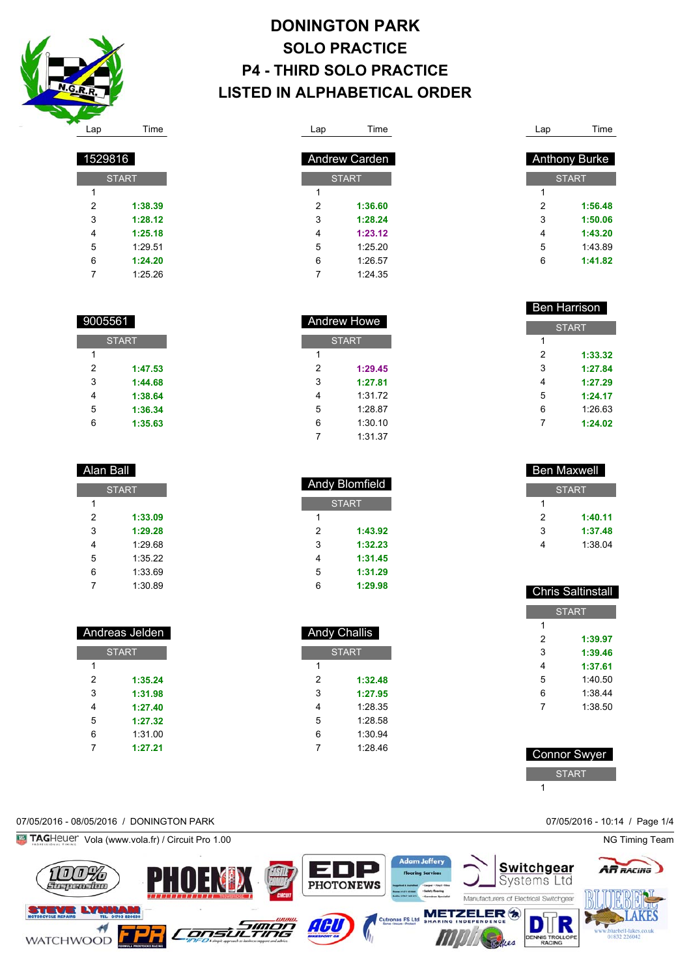

Alan Ball

**START** 

 **1:33.09 1:29.28** 1:29.68 1:35.22 1:33.69 1:30.89

 Andreas Jelden **START** 

> **1:35.24 1:31.98 1:27.40 1:27.32** 1:31.00 **1:27.21**

**START** 

 **1:47.53 1:44.68 1:38.64 1:36.34 1:35.63**

**START** 

 **1:38.39 1:28.12 1:25.18** 1:29.51 **1:24.20** 1:25.26

## **DONINGTON PARK SOLO PRACTICE P4 - THIRD SOLO PRACTICE LISTED IN ALPHABETICAL ORDER**

| Lap          | Time                 |  |  |  |
|--------------|----------------------|--|--|--|
|              |                      |  |  |  |
|              | <b>Andrew Carden</b> |  |  |  |
| <b>START</b> |                      |  |  |  |
| 1            |                      |  |  |  |
| 2            | 1:36.60              |  |  |  |
| 3            | 1:28.24              |  |  |  |
| 4            | 1:23.12              |  |  |  |
| 5            | 1:25.20              |  |  |  |
| 6            | 1:26.57              |  |  |  |
| 7            | 1:24.35              |  |  |  |

| Lap | Time                 |
|-----|----------------------|
|     |                      |
|     | <b>Anthony Burke</b> |
|     | <b>START</b>         |
| 1   |                      |
| 2   | 1:56.48              |
| 3   | 1:50.06              |
| 4   | 1:43.20              |
| 5   | 1.43.89              |
| 6   | 1:41.82              |
|     |                      |

| <b>Ben Harrison</b> |              |  |  |
|---------------------|--------------|--|--|
|                     | <b>START</b> |  |  |
| 1                   |              |  |  |
| 2                   | 1:33.32      |  |  |
| 3                   | 1:27.84      |  |  |
| 4                   | 1.27.29      |  |  |
| 5                   | 1.24 17      |  |  |
| 6                   | 1:26.63      |  |  |
|                     | 1:24.02      |  |  |

|              | Ben Maxwell |  |  |  |
|--------------|-------------|--|--|--|
| <b>START</b> |             |  |  |  |
| 1            |             |  |  |  |
| 2            | 1:40.11     |  |  |  |
| 3            | 1:37.48     |  |  |  |
|              | 1:38.04     |  |  |  |

|   | <b>Chris Saltinstall</b> |
|---|--------------------------|
|   | <b>START</b>             |
| 1 |                          |
| 2 | 1:39.97                  |
| 3 | 1:39.46                  |
| 4 | 1:37.61                  |
| 5 | 1:40.50                  |
| 6 | 1:38.44                  |
| 7 | 1:38.50                  |
|   |                          |

| Connor Swyer |
|--------------|
| <b>START</b> |
|              |

### 07/05/2016 - 08/05/2016 / DONINGTON PARK 07/05/2016 - 10:14 / Page 1/4



|   | Andrew Howe  |
|---|--------------|
|   | <b>START</b> |
| 1 |              |
| 2 | 1:29.45      |
| 3 | 1:27 81      |
| 4 | 1:31.72      |
| 5 | 1:28.87      |
| 6 | 1:30.10      |
| 7 | 1:31.37      |

| <b>Andy Blomfield</b> |         |  |  |
|-----------------------|---------|--|--|
| <b>START</b>          |         |  |  |
| 1                     |         |  |  |
| 2                     | 1:43.92 |  |  |
| 3                     | 1:32.23 |  |  |
| 4                     | 1:31.45 |  |  |
| 5                     | 1:31.29 |  |  |
| 6                     | 1:29.98 |  |  |

| <b>Andy Challis</b> |         |  |  |
|---------------------|---------|--|--|
| <b>START</b>        |         |  |  |
| 1                   |         |  |  |
| 2                   | 1:32.48 |  |  |
| 3                   | 1:27.95 |  |  |
| 4                   | 1:28.35 |  |  |
| 5                   | 1:28.58 |  |  |
| 6                   | 1:30.94 |  |  |
| 7                   | 1:28.46 |  |  |
|                     |         |  |  |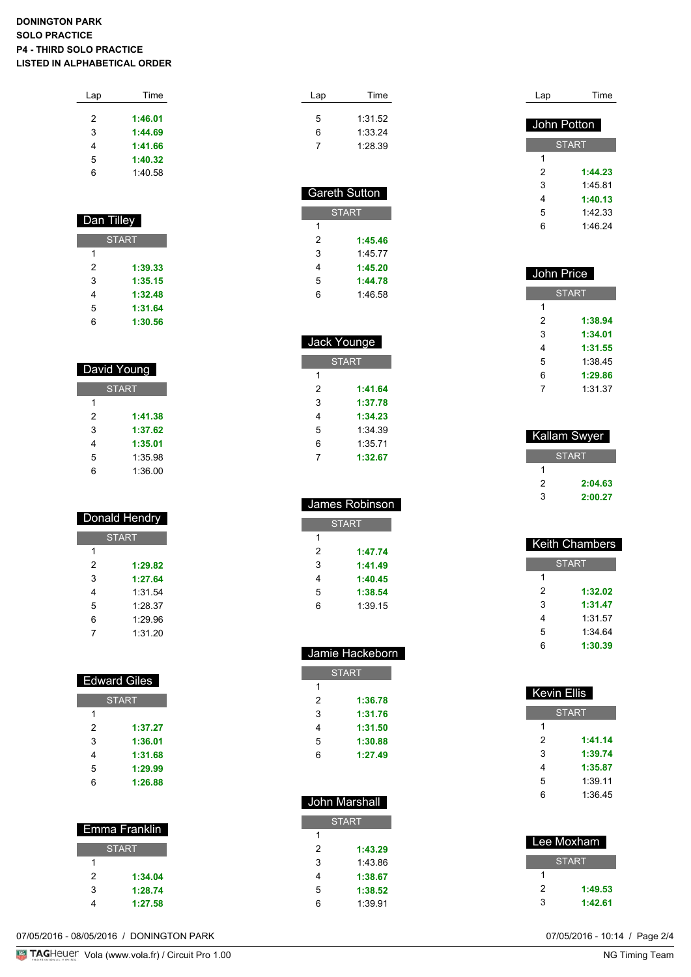### **DONINGTON PARK SOLO PRACTICE P4 - THIRD SOLO PRACTICE LISTED IN ALPHABETICAL ORDER**

| Lap | Time    |  |
|-----|---------|--|
|     |         |  |
| 2   | 1:46.01 |  |
| 3   | 1:44.69 |  |
| 4   | 1:41.66 |  |
| 5   | 1:40.32 |  |
| ี   | 1:40.58 |  |
|     |         |  |

| Dan Tilley   |         |  |
|--------------|---------|--|
| <b>START</b> |         |  |
| 1            |         |  |
| 2            | 1:39.33 |  |
| 3            | 1:35.15 |  |
| 4            | 1:32.48 |  |
| 5            | 1:31.64 |  |
| 6            | 1:30.56 |  |

| David Young  |         |  |
|--------------|---------|--|
| <b>START</b> |         |  |
| 1            |         |  |
| 2            | 1:41.38 |  |
| 3            | 1:37.62 |  |
| 4            | 1:35.01 |  |
| 5            | 1:35.98 |  |
| հ            | 1:36.00 |  |

| Donald Hendry |         |
|---------------|---------|
| <b>START</b>  |         |
| 1             |         |
| 2             | 1:29.82 |
| 3             | 1:27.64 |
| 4             | 1:31.54 |
| 5             | 1:28.37 |
| 6             | 1:29.96 |
| 7             | 1:31 20 |

| <b>Edward Giles</b> |         |  |
|---------------------|---------|--|
| <b>START</b>        |         |  |
| 1                   |         |  |
| 2                   | 1:37.27 |  |
| 3                   | 1:36.01 |  |
| 4                   | 1:31.68 |  |
| 5                   | 1:29.99 |  |
| 6                   | 1:26.88 |  |

| Emma Franklin |         |  |
|---------------|---------|--|
| <b>START</b>  |         |  |
|               |         |  |
| 2             | 1:34.04 |  |
| 3             | 1:28.74 |  |
|               | 1:27.58 |  |

| Lap                  | Time    |
|----------------------|---------|
|                      |         |
| 5                    | 1:31.52 |
| 6                    | 1:33.24 |
| 7                    | 1:28.39 |
|                      |         |
|                      |         |
| <b>Gareth Sutton</b> |         |
| А                    |         |

| SIARI |         |
|-------|---------|
| 1     |         |
| 2     | 1:45.46 |
| 3     | 1:45.77 |
| 4     | 1:45.20 |
| 5     | 1:44.78 |
| 6     | 1:46.58 |

| Jack Younge  |         |  |
|--------------|---------|--|
| <b>START</b> |         |  |
| 1            |         |  |
| 2            | 1:41.64 |  |
| 3            | 1:37.78 |  |
| 4            | 1:34.23 |  |
| 5            | 1:34.39 |  |
| 6            | 1:35.71 |  |
| 7            | 1:32.67 |  |

| James Robinson |         |
|----------------|---------|
| START          |         |
| 1              |         |
| 2              | 1:47.74 |
| 3              | 1:41.49 |
| 4              | 1:40.45 |
| 5              | 1:38.54 |
| 6              | 1:39.15 |
|                |         |

| Jamie Hackeborn |         |
|-----------------|---------|
| <b>START</b>    |         |
| 1               |         |
| 2               | 1:36.78 |
| 3               | 1:31.76 |
| 4               | 1:31.50 |
| 5               | 1:30.88 |
| 6               | 1:27.49 |
|                 |         |

I

| John Marshall |         |  |
|---------------|---------|--|
| <b>START</b>  |         |  |
| 1             |         |  |
| 2             | 1:43.29 |  |
| 3             | 1.43.86 |  |
| 4             | 1:38.67 |  |
| 5             | 1:38.52 |  |
| 6             | 1:39.91 |  |

| Lap         | Time         |
|-------------|--------------|
|             |              |
| John Potton |              |
|             | <b>START</b> |
| 1           |              |
| 2           | 1:44.23      |
| 3           | 1.45.81      |
| 4           | 1:40.13      |
| 5           | 1.42.33      |
| 6           | 1.4624       |

| John Price |              |
|------------|--------------|
|            | <b>START</b> |
| 1          |              |
| 2          | 1:38.94      |
| 3          | 1:34.01      |
| 4          | 1:31.55      |
| 5          | 1:38.45      |
| 6          | 1:29.86      |
| 7          | 1:31.37      |

|   | Kallam Swyer |
|---|--------------|
|   | <b>START</b> |
|   |              |
| 2 | 2:04.63      |
| 3 | 2:00.27      |

|   | <b>Keith Chambers</b> |
|---|-----------------------|
|   | <b>START</b>          |
| 1 |                       |
| 2 | 1:32.02               |
| 3 | 1:31.47               |
| 4 | 1:31.57               |
| 5 | 1:3464                |
| 6 | 1:30.39               |
|   |                       |

| Kevin Ellis |              |
|-------------|--------------|
|             | <b>START</b> |
| 1           |              |
| 2           | 1:41.14      |
| 3           | 1:39.74      |
| 4           | 1:35.87      |
| 5           | 1:39.11      |
| 6           | 1:36.45      |
|             |              |

| Lee Moxham |              |
|------------|--------------|
|            | <b>START</b> |
|            |              |
| 2          | 1:49.53      |
| 3          | 1:42.61      |

07/05/2016 - 08/05/2016 / DONINGTON PARK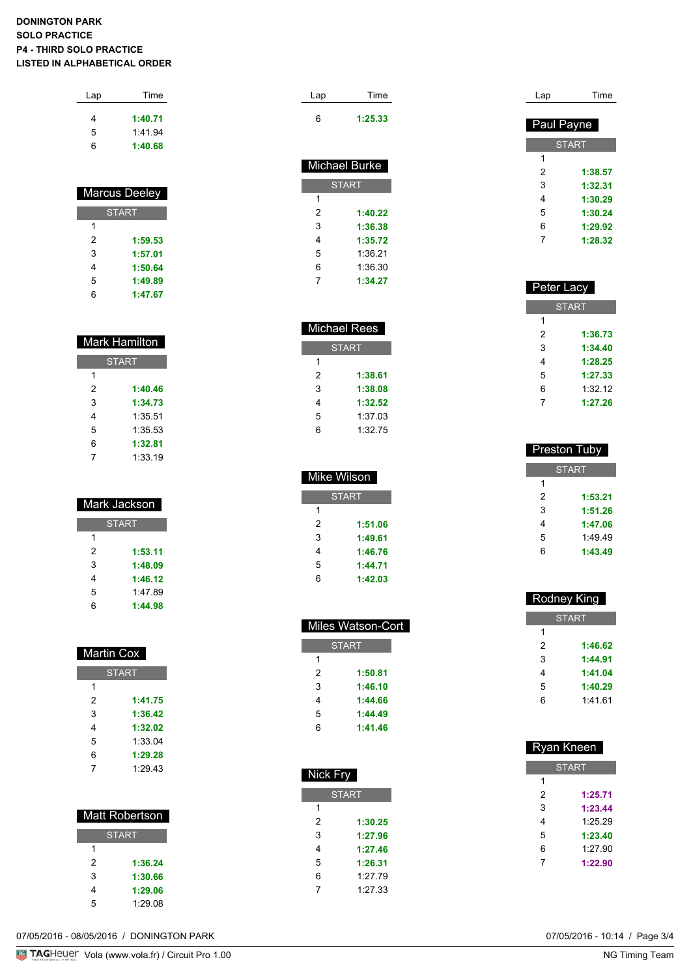### **DONINGTON PARK SOLO PRACTICE P4 - THIRD SOLO PRACTICE LISTED IN ALPHABETICAL ORDER**

| Lap | Time    |
|-----|---------|
| 4   | 1:40.71 |
| 5   | 1:41.94 |
| 6   | 1:40.68 |
|     |         |

|   | Marcus Deeley |
|---|---------------|
|   | <b>START</b>  |
| 1 |               |
| 2 | 1:59.53       |
| 3 | 1:57.01       |
| 4 | 1:50.64       |
| 5 | 1:49.89       |
| 6 | 1:47.67       |

|   | Mark Hamilton |
|---|---------------|
|   | <b>START</b>  |
| 1 |               |
| 2 | 1:40.46       |
| 3 | 1:34.73       |
| 4 | 1:35.51       |
| 5 | 1:35.53       |
| 6 | 1:32.81       |
|   | 1:33.19       |

|   | Mark Jackson |
|---|--------------|
|   | <b>START</b> |
| 1 |              |
| 2 | 1:53.11      |
| 3 | 1:48.09      |
| 4 | 1:46.12      |
| 5 | 1.47.89      |
| հ | 1:44.98      |

| Martin Cox |              |
|------------|--------------|
|            | <b>START</b> |
| 1          |              |
| 2          | 1:41.75      |
| 3          | 1:36.42      |
| 4          | 1:32.02      |
| 5          | 1:33.04      |
| 6          | 1:29.28      |
|            | 1:29.43      |

|   | <b>Matt Robertson</b> |
|---|-----------------------|
|   | <b>START</b>          |
|   |                       |
| 2 | 1:36.24               |
| 3 | 1:30.66               |
| 4 | 1:29.06               |
| 5 | 1:29.08               |

| Lap | Time                 |
|-----|----------------------|
| 6   | 1:25.33              |
|     | <b>Michael Burke</b> |
|     |                      |
|     | <b>START</b>         |
| 1   |                      |
| 2   | 1:40.22              |
| 3   | 1:36.38              |
| 4   | 1:35.72              |
| 5   | 1:36.21              |

| Michael Rees |         |
|--------------|---------|
| <b>START</b> |         |
| 1            |         |
| 2            | 1:38.61 |
| 3            | 1:38.08 |
| 4            | 1:32.52 |
| 5            | 1:37 03 |
| ค            | 1:32.75 |

**1:34.27**

| Mike Wilson  |         |  |
|--------------|---------|--|
| <b>START</b> |         |  |
| 1            |         |  |
| 2            | 1:51.06 |  |
| 3            | 1:49.61 |  |
| 4            | 1:46.76 |  |
| 5            | 1:44.71 |  |
| 6            | 1:42.03 |  |

| <b>Miles Watson-Cort</b> |         |  |
|--------------------------|---------|--|
| START                    |         |  |
| 1                        |         |  |
| 2                        | 1:50.81 |  |
| 3                        | 1:46.10 |  |
| 4                        | 1:44.66 |  |
| 5                        | 1:44.49 |  |
| հ                        | 1:41.46 |  |

| Nick Fry     |         |  |
|--------------|---------|--|
| <b>START</b> |         |  |
| 1            |         |  |
| 2            | 1:30.25 |  |
| 3            | 1:27.96 |  |
| 4            | 1:27.46 |  |
| 5            | 1:26.31 |  |
| 6            | 1:27.79 |  |
| 7            | 1:27.33 |  |

| Time              |
|-------------------|
|                   |
| <b>Paul Payne</b> |
| <b>START</b>      |
|                   |
| 1:38.57           |
| 1:32.31           |
| 1:30.29           |
| 1:30.24           |
| 1:29.92           |
| 1:28.32           |
|                   |

| Peter Lacy   |         |
|--------------|---------|
| <b>START</b> |         |
| 1            |         |
| 2            | 1:36.73 |
| 3            | 1:34.40 |
| 4            | 1:28.25 |
| 5            | 1:27.33 |
| 6            | 1:3212  |
|              | 1:27.26 |

| Preston Tuby |         |  |
|--------------|---------|--|
| <b>START</b> |         |  |
| 1            |         |  |
| 2            | 1:53.21 |  |
| 3            | 1:51.26 |  |
| 4            | 1:47.06 |  |
| 5            | 1.4949  |  |
| հ            | 1:43.49 |  |
|              |         |  |

| Rodney King  |         |  |
|--------------|---------|--|
| <b>START</b> |         |  |
| 1            |         |  |
| 2            | 1:46.62 |  |
| 3            | 1:44.91 |  |
| 4            | 1:41.04 |  |
| 5            | 1:40.29 |  |
| 6            | 1.41 61 |  |
|              |         |  |

| Ryan Kneen   |         |
|--------------|---------|
| <b>START</b> |         |
| 1            |         |
| 2            | 1:25.71 |
| 3            | 1:23.44 |
| 4            | 1:25.29 |
| 5            | 1:23.40 |
| 6            | 1:27.90 |
| 7            | 1:22.90 |
|              |         |

07/05/2016 - 08/05/2016 / DONINGTON PARK